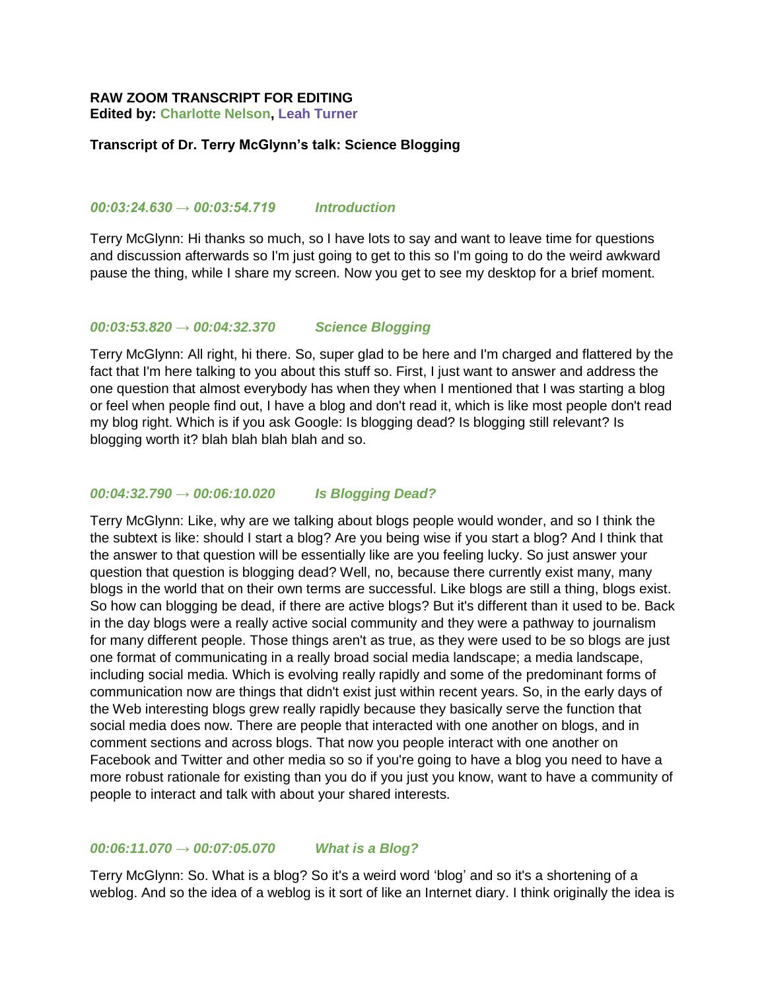## **RAW ZOOM TRANSCRIPT FOR EDITING**

**Edited by: Charlotte Nelson, Leah Turner**

## **Transcript of Dr. Terry McGlynn's talk: Science Blogging**

## *00:03:24.630 → 00:03:54.719 Introduction*

Terry McGlynn: Hi thanks so much, so I have lots to say and want to leave time for questions and discussion afterwards so I'm just going to get to this so I'm going to do the weird awkward pause the thing, while I share my screen. Now you get to see my desktop for a brief moment.

#### *00:03:53.820 → 00:04:32.370 Science Blogging*

Terry McGlynn: All right, hi there. So, super glad to be here and I'm charged and flattered by the fact that I'm here talking to you about this stuff so. First, I just want to answer and address the one question that almost everybody has when they when I mentioned that I was starting a blog or feel when people find out, I have a blog and don't read it, which is like most people don't read my blog right. Which is if you ask Google: Is blogging dead? Is blogging still relevant? Is blogging worth it? blah blah blah blah and so.

#### *00:04:32.790 → 00:06:10.020 Is Blogging Dead?*

Terry McGlynn: Like, why are we talking about blogs people would wonder, and so I think the the subtext is like: should I start a blog? Are you being wise if you start a blog? And I think that the answer to that question will be essentially like are you feeling lucky. So just answer your question that question is blogging dead? Well, no, because there currently exist many, many blogs in the world that on their own terms are successful. Like blogs are still a thing, blogs exist. So how can blogging be dead, if there are active blogs? But it's different than it used to be. Back in the day blogs were a really active social community and they were a pathway to journalism for many different people. Those things aren't as true, as they were used to be so blogs are just one format of communicating in a really broad social media landscape; a media landscape, including social media. Which is evolving really rapidly and some of the predominant forms of communication now are things that didn't exist just within recent years. So, in the early days of the Web interesting blogs grew really rapidly because they basically serve the function that social media does now. There are people that interacted with one another on blogs, and in comment sections and across blogs. That now you people interact with one another on Facebook and Twitter and other media so so if you're going to have a blog you need to have a more robust rationale for existing than you do if you just you know, want to have a community of people to interact and talk with about your shared interests.

# *00:06:11.070 → 00:07:05.070 What is a Blog?*

Terry McGlynn: So. What is a blog? So it's a weird word 'blog' and so it's a shortening of a weblog. And so the idea of a weblog is it sort of like an Internet diary. I think originally the idea is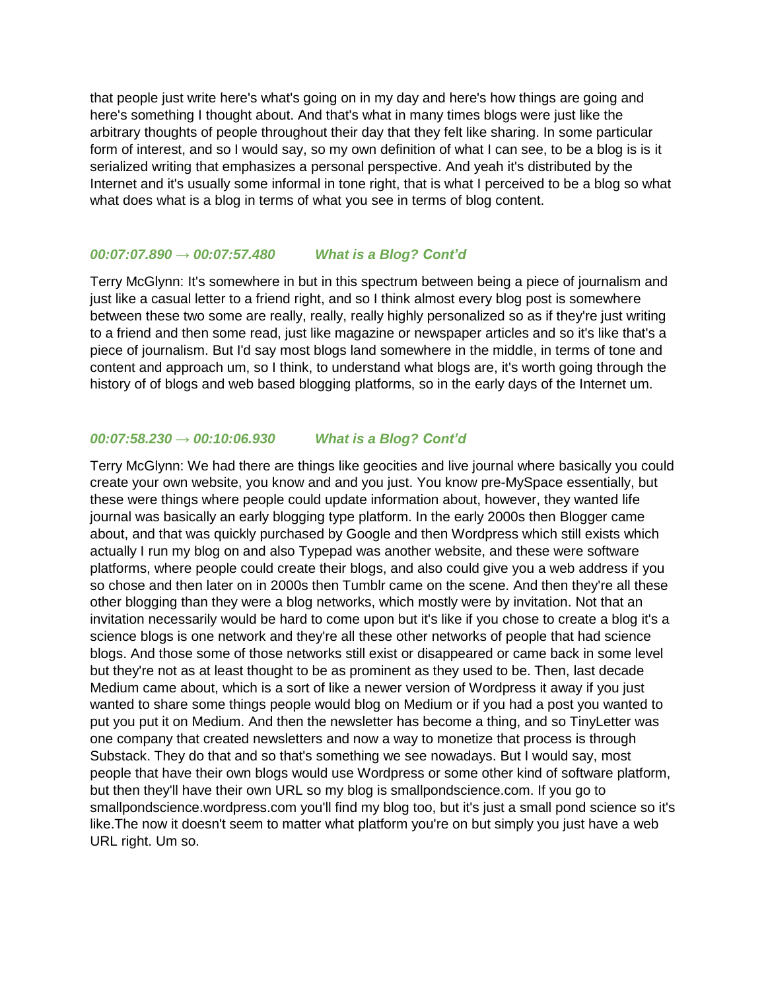that people just write here's what's going on in my day and here's how things are going and here's something I thought about. And that's what in many times blogs were just like the arbitrary thoughts of people throughout their day that they felt like sharing. In some particular form of interest, and so I would say, so my own definition of what I can see, to be a blog is is it serialized writing that emphasizes a personal perspective. And yeah it's distributed by the Internet and it's usually some informal in tone right, that is what I perceived to be a blog so what what does what is a blog in terms of what you see in terms of blog content.

## *00:07:07.890 → 00:07:57.480 What is a Blog? Cont'd*

Terry McGlynn: It's somewhere in but in this spectrum between being a piece of journalism and just like a casual letter to a friend right, and so I think almost every blog post is somewhere between these two some are really, really, really highly personalized so as if they're just writing to a friend and then some read, just like magazine or newspaper articles and so it's like that's a piece of journalism. But I'd say most blogs land somewhere in the middle, in terms of tone and content and approach um, so I think, to understand what blogs are, it's worth going through the history of of blogs and web based blogging platforms, so in the early days of the Internet um.

## *00:07:58.230 → 00:10:06.930 What is a Blog? Cont'd*

Terry McGlynn: We had there are things like geocities and live journal where basically you could create your own website, you know and and you just. You know pre-MySpace essentially, but these were things where people could update information about, however, they wanted life journal was basically an early blogging type platform. In the early 2000s then Blogger came about, and that was quickly purchased by Google and then Wordpress which still exists which actually I run my blog on and also Typepad was another website, and these were software platforms, where people could create their blogs, and also could give you a web address if you so chose and then later on in 2000s then Tumblr came on the scene. And then they're all these other blogging than they were a blog networks, which mostly were by invitation. Not that an invitation necessarily would be hard to come upon but it's like if you chose to create a blog it's a science blogs is one network and they're all these other networks of people that had science blogs. And those some of those networks still exist or disappeared or came back in some level but they're not as at least thought to be as prominent as they used to be. Then, last decade Medium came about, which is a sort of like a newer version of Wordpress it away if you just wanted to share some things people would blog on Medium or if you had a post you wanted to put you put it on Medium. And then the newsletter has become a thing, and so TinyLetter was one company that created newsletters and now a way to monetize that process is through Substack. They do that and so that's something we see nowadays. But I would say, most people that have their own blogs would use Wordpress or some other kind of software platform, but then they'll have their own URL so my blog is smallpondscience.com. If you go to smallpondscience.wordpress.com you'll find my blog too, but it's just a small pond science so it's like.The now it doesn't seem to matter what platform you're on but simply you just have a web URL right. Um so.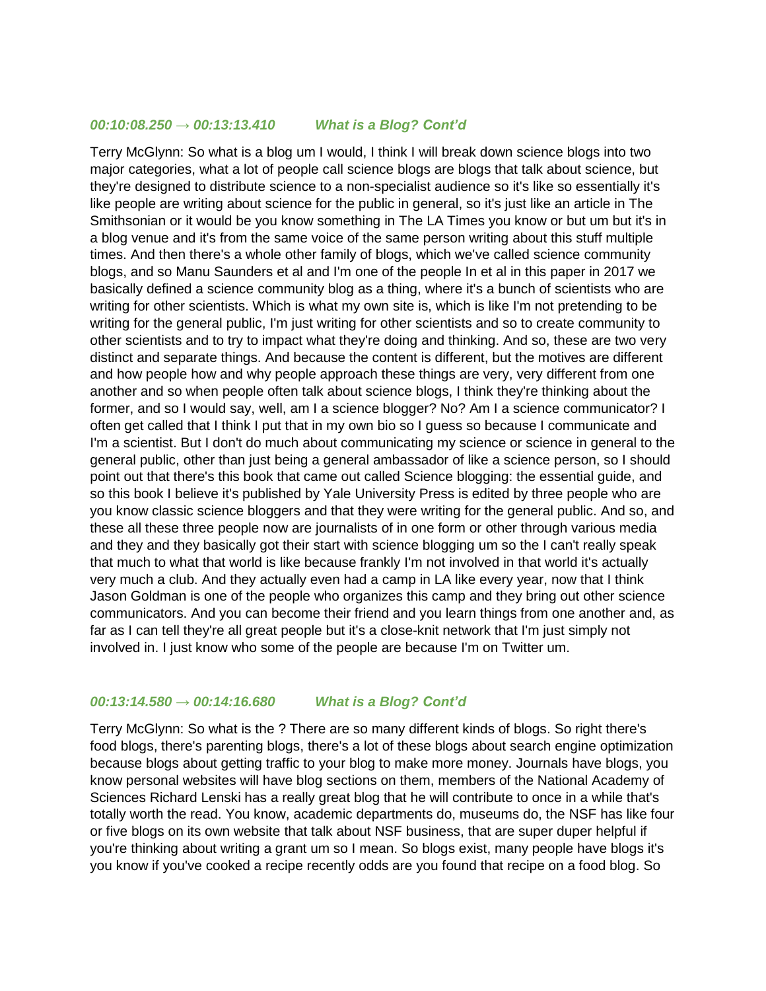## *00:10:08.250 → 00:13:13.410 What is a Blog? Cont'd*

Terry McGlynn: So what is a blog um I would, I think I will break down science blogs into two major categories, what a lot of people call science blogs are blogs that talk about science, but they're designed to distribute science to a non-specialist audience so it's like so essentially it's like people are writing about science for the public in general, so it's just like an article in The Smithsonian or it would be you know something in The LA Times you know or but um but it's in a blog venue and it's from the same voice of the same person writing about this stuff multiple times. And then there's a whole other family of blogs, which we've called science community blogs, and so Manu Saunders et al and I'm one of the people In et al in this paper in 2017 we basically defined a science community blog as a thing, where it's a bunch of scientists who are writing for other scientists. Which is what my own site is, which is like I'm not pretending to be writing for the general public, I'm just writing for other scientists and so to create community to other scientists and to try to impact what they're doing and thinking. And so, these are two very distinct and separate things. And because the content is different, but the motives are different and how people how and why people approach these things are very, very different from one another and so when people often talk about science blogs, I think they're thinking about the former, and so I would say, well, am I a science blogger? No? Am I a science communicator? I often get called that I think I put that in my own bio so I guess so because I communicate and I'm a scientist. But I don't do much about communicating my science or science in general to the general public, other than just being a general ambassador of like a science person, so I should point out that there's this book that came out called Science blogging: the essential guide, and so this book I believe it's published by Yale University Press is edited by three people who are you know classic science bloggers and that they were writing for the general public. And so, and these all these three people now are journalists of in one form or other through various media and they and they basically got their start with science blogging um so the I can't really speak that much to what that world is like because frankly I'm not involved in that world it's actually very much a club. And they actually even had a camp in LA like every year, now that I think Jason Goldman is one of the people who organizes this camp and they bring out other science communicators. And you can become their friend and you learn things from one another and, as far as I can tell they're all great people but it's a close-knit network that I'm just simply not involved in. I just know who some of the people are because I'm on Twitter um.

## *00:13:14.580 → 00:14:16.680 What is a Blog? Cont'd*

Terry McGlynn: So what is the ? There are so many different kinds of blogs. So right there's food blogs, there's parenting blogs, there's a lot of these blogs about search engine optimization because blogs about getting traffic to your blog to make more money. Journals have blogs, you know personal websites will have blog sections on them, members of the National Academy of Sciences Richard Lenski has a really great blog that he will contribute to once in a while that's totally worth the read. You know, academic departments do, museums do, the NSF has like four or five blogs on its own website that talk about NSF business, that are super duper helpful if you're thinking about writing a grant um so I mean. So blogs exist, many people have blogs it's you know if you've cooked a recipe recently odds are you found that recipe on a food blog. So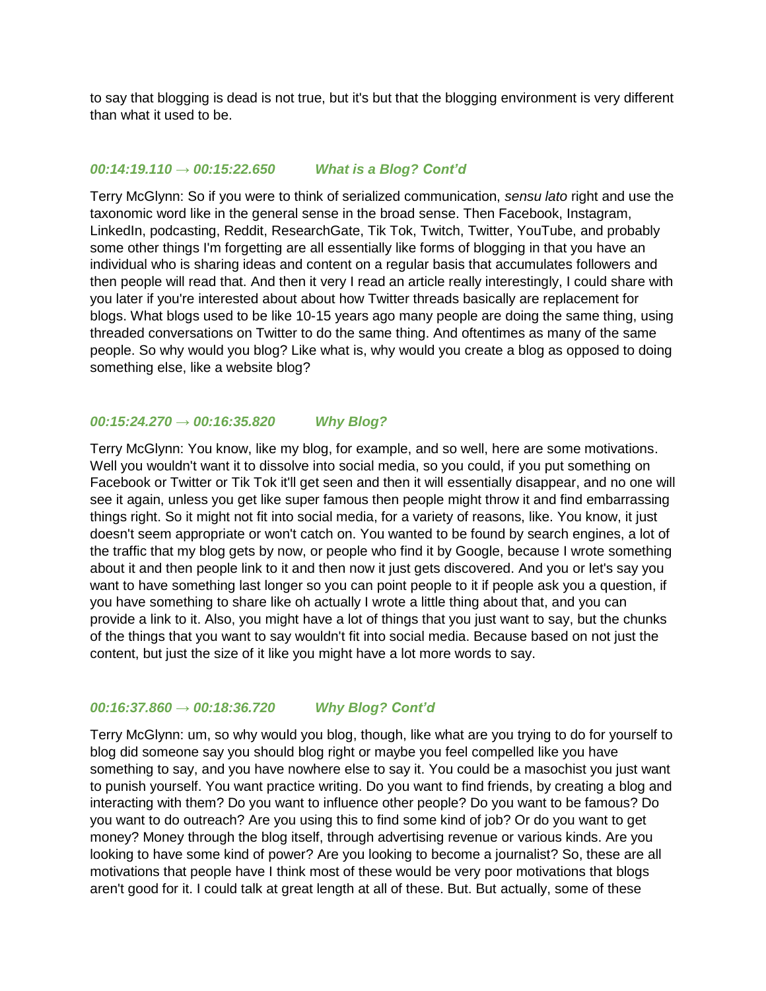to say that blogging is dead is not true, but it's but that the blogging environment is very different than what it used to be.

## *00:14:19.110 → 00:15:22.650 What is a Blog? Cont'd*

Terry McGlynn: So if you were to think of serialized communication, *sensu lato* right and use the taxonomic word like in the general sense in the broad sense. Then Facebook, Instagram, LinkedIn, podcasting, Reddit, ResearchGate, Tik Tok, Twitch, Twitter, YouTube, and probably some other things I'm forgetting are all essentially like forms of blogging in that you have an individual who is sharing ideas and content on a regular basis that accumulates followers and then people will read that. And then it very I read an article really interestingly, I could share with you later if you're interested about about how Twitter threads basically are replacement for blogs. What blogs used to be like 10-15 years ago many people are doing the same thing, using threaded conversations on Twitter to do the same thing. And oftentimes as many of the same people. So why would you blog? Like what is, why would you create a blog as opposed to doing something else, like a website blog?

# *00:15:24.270 → 00:16:35.820 Why Blog?*

Terry McGlynn: You know, like my blog, for example, and so well, here are some motivations. Well you wouldn't want it to dissolve into social media, so you could, if you put something on Facebook or Twitter or Tik Tok it'll get seen and then it will essentially disappear, and no one will see it again, unless you get like super famous then people might throw it and find embarrassing things right. So it might not fit into social media, for a variety of reasons, like. You know, it just doesn't seem appropriate or won't catch on. You wanted to be found by search engines, a lot of the traffic that my blog gets by now, or people who find it by Google, because I wrote something about it and then people link to it and then now it just gets discovered. And you or let's say you want to have something last longer so you can point people to it if people ask you a question, if you have something to share like oh actually I wrote a little thing about that, and you can provide a link to it. Also, you might have a lot of things that you just want to say, but the chunks of the things that you want to say wouldn't fit into social media. Because based on not just the content, but just the size of it like you might have a lot more words to say.

## *00:16:37.860 → 00:18:36.720 Why Blog? Cont'd*

Terry McGlynn: um, so why would you blog, though, like what are you trying to do for yourself to blog did someone say you should blog right or maybe you feel compelled like you have something to say, and you have nowhere else to say it. You could be a masochist you just want to punish yourself. You want practice writing. Do you want to find friends, by creating a blog and interacting with them? Do you want to influence other people? Do you want to be famous? Do you want to do outreach? Are you using this to find some kind of job? Or do you want to get money? Money through the blog itself, through advertising revenue or various kinds. Are you looking to have some kind of power? Are you looking to become a journalist? So, these are all motivations that people have I think most of these would be very poor motivations that blogs aren't good for it. I could talk at great length at all of these. But. But actually, some of these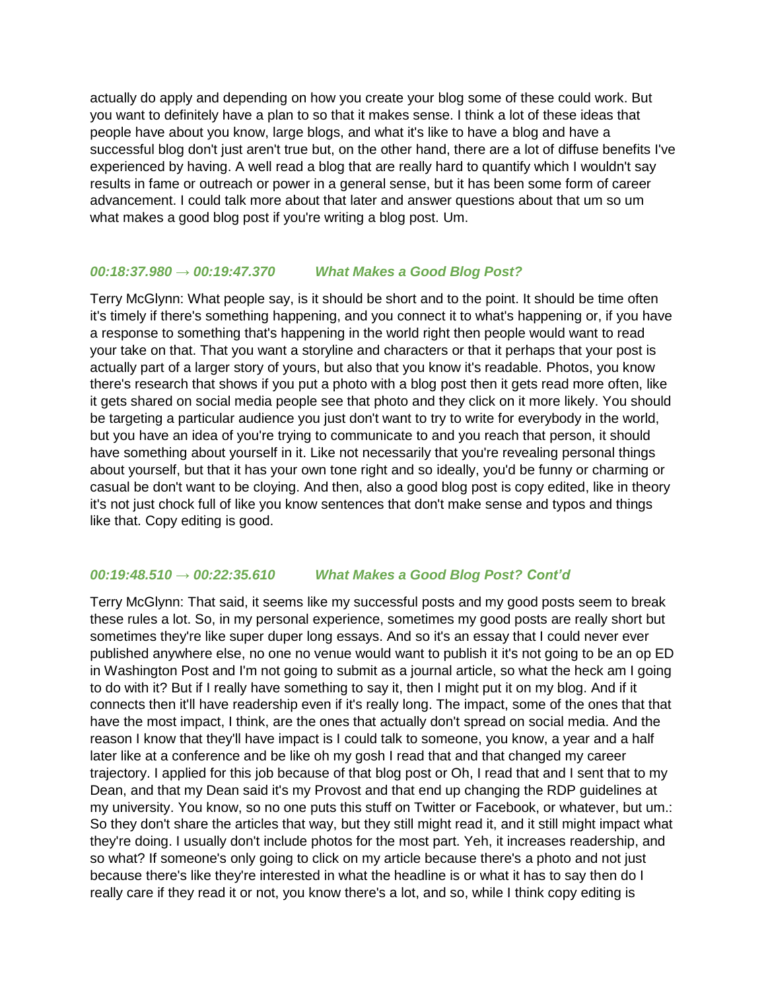actually do apply and depending on how you create your blog some of these could work. But you want to definitely have a plan to so that it makes sense. I think a lot of these ideas that people have about you know, large blogs, and what it's like to have a blog and have a successful blog don't just aren't true but, on the other hand, there are a lot of diffuse benefits I've experienced by having. A well read a blog that are really hard to quantify which I wouldn't say results in fame or outreach or power in a general sense, but it has been some form of career advancement. I could talk more about that later and answer questions about that um so um what makes a good blog post if you're writing a blog post. Um.

# *00:18:37.980 → 00:19:47.370 What Makes a Good Blog Post?*

Terry McGlynn: What people say, is it should be short and to the point. It should be time often it's timely if there's something happening, and you connect it to what's happening or, if you have a response to something that's happening in the world right then people would want to read your take on that. That you want a storyline and characters or that it perhaps that your post is actually part of a larger story of yours, but also that you know it's readable. Photos, you know there's research that shows if you put a photo with a blog post then it gets read more often, like it gets shared on social media people see that photo and they click on it more likely. You should be targeting a particular audience you just don't want to try to write for everybody in the world, but you have an idea of you're trying to communicate to and you reach that person, it should have something about yourself in it. Like not necessarily that you're revealing personal things about yourself, but that it has your own tone right and so ideally, you'd be funny or charming or casual be don't want to be cloying. And then, also a good blog post is copy edited, like in theory it's not just chock full of like you know sentences that don't make sense and typos and things like that. Copy editing is good.

# *00:19:48.510 → 00:22:35.610 What Makes a Good Blog Post? Cont'd*

Terry McGlynn: That said, it seems like my successful posts and my good posts seem to break these rules a lot. So, in my personal experience, sometimes my good posts are really short but sometimes they're like super duper long essays. And so it's an essay that I could never ever published anywhere else, no one no venue would want to publish it it's not going to be an op ED in Washington Post and I'm not going to submit as a journal article, so what the heck am I going to do with it? But if I really have something to say it, then I might put it on my blog. And if it connects then it'll have readership even if it's really long. The impact, some of the ones that that have the most impact, I think, are the ones that actually don't spread on social media. And the reason I know that they'll have impact is I could talk to someone, you know, a year and a half later like at a conference and be like oh my gosh I read that and that changed my career trajectory. I applied for this job because of that blog post or Oh, I read that and I sent that to my Dean, and that my Dean said it's my Provost and that end up changing the RDP guidelines at my university. You know, so no one puts this stuff on Twitter or Facebook, or whatever, but um.: So they don't share the articles that way, but they still might read it, and it still might impact what they're doing. I usually don't include photos for the most part. Yeh, it increases readership, and so what? If someone's only going to click on my article because there's a photo and not just because there's like they're interested in what the headline is or what it has to say then do I really care if they read it or not, you know there's a lot, and so, while I think copy editing is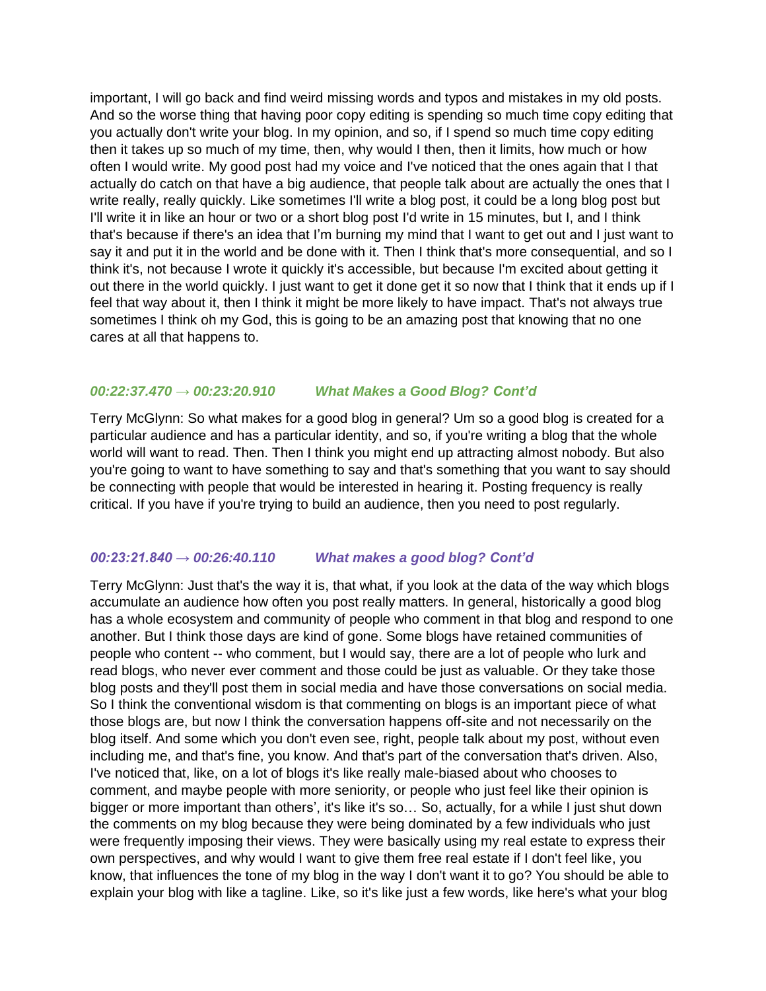important, I will go back and find weird missing words and typos and mistakes in my old posts. And so the worse thing that having poor copy editing is spending so much time copy editing that you actually don't write your blog. In my opinion, and so, if I spend so much time copy editing then it takes up so much of my time, then, why would I then, then it limits, how much or how often I would write. My good post had my voice and I've noticed that the ones again that I that actually do catch on that have a big audience, that people talk about are actually the ones that I write really, really quickly. Like sometimes I'll write a blog post, it could be a long blog post but I'll write it in like an hour or two or a short blog post I'd write in 15 minutes, but I, and I think that's because if there's an idea that I'm burning my mind that I want to get out and I just want to say it and put it in the world and be done with it. Then I think that's more consequential, and so I think it's, not because I wrote it quickly it's accessible, but because I'm excited about getting it out there in the world quickly. I just want to get it done get it so now that I think that it ends up if I feel that way about it, then I think it might be more likely to have impact. That's not always true sometimes I think oh my God, this is going to be an amazing post that knowing that no one cares at all that happens to.

## *00:22:37.470 → 00:23:20.910 What Makes a Good Blog? Cont'd*

Terry McGlynn: So what makes for a good blog in general? Um so a good blog is created for a particular audience and has a particular identity, and so, if you're writing a blog that the whole world will want to read. Then. Then I think you might end up attracting almost nobody. But also you're going to want to have something to say and that's something that you want to say should be connecting with people that would be interested in hearing it. Posting frequency is really critical. If you have if you're trying to build an audience, then you need to post regularly.

# *00:23:21.840 → 00:26:40.110 What makes a good blog? Cont'd*

Terry McGlynn: Just that's the way it is, that what, if you look at the data of the way which blogs accumulate an audience how often you post really matters. In general, historically a good blog has a whole ecosystem and community of people who comment in that blog and respond to one another. But I think those days are kind of gone. Some blogs have retained communities of people who content -- who comment, but I would say, there are a lot of people who lurk and read blogs, who never ever comment and those could be just as valuable. Or they take those blog posts and they'll post them in social media and have those conversations on social media. So I think the conventional wisdom is that commenting on blogs is an important piece of what those blogs are, but now I think the conversation happens off-site and not necessarily on the blog itself. And some which you don't even see, right, people talk about my post, without even including me, and that's fine, you know. And that's part of the conversation that's driven. Also, I've noticed that, like, on a lot of blogs it's like really male-biased about who chooses to comment, and maybe people with more seniority, or people who just feel like their opinion is bigger or more important than others', it's like it's so… So, actually, for a while I just shut down the comments on my blog because they were being dominated by a few individuals who just were frequently imposing their views. They were basically using my real estate to express their own perspectives, and why would I want to give them free real estate if I don't feel like, you know, that influences the tone of my blog in the way I don't want it to go? You should be able to explain your blog with like a tagline. Like, so it's like just a few words, like here's what your blog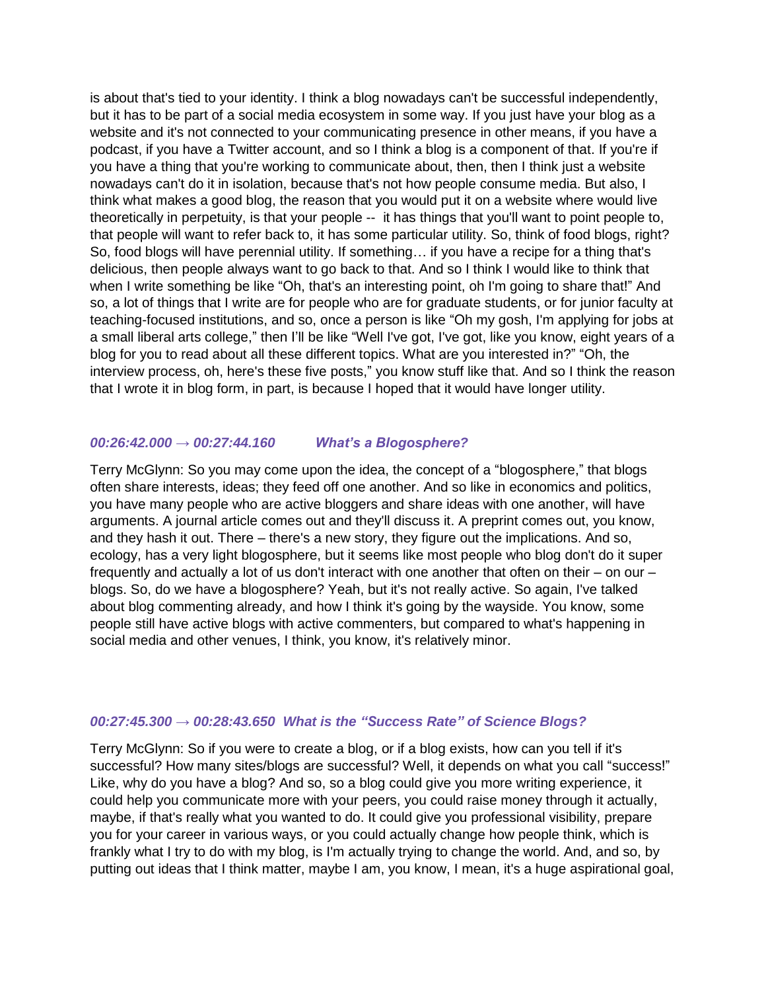is about that's tied to your identity. I think a blog nowadays can't be successful independently, but it has to be part of a social media ecosystem in some way. If you just have your blog as a website and it's not connected to your communicating presence in other means, if you have a podcast, if you have a Twitter account, and so I think a blog is a component of that. If you're if you have a thing that you're working to communicate about, then, then I think just a website nowadays can't do it in isolation, because that's not how people consume media. But also, I think what makes a good blog, the reason that you would put it on a website where would live theoretically in perpetuity, is that your people -- it has things that you'll want to point people to, that people will want to refer back to, it has some particular utility. So, think of food blogs, right? So, food blogs will have perennial utility. If something… if you have a recipe for a thing that's delicious, then people always want to go back to that. And so I think I would like to think that when I write something be like "Oh, that's an interesting point, oh I'm going to share that!" And so, a lot of things that I write are for people who are for graduate students, or for junior faculty at teaching-focused institutions, and so, once a person is like "Oh my gosh, I'm applying for jobs at a small liberal arts college," then I'll be like "Well I've got, I've got, like you know, eight years of a blog for you to read about all these different topics. What are you interested in?" "Oh, the interview process, oh, here's these five posts," you know stuff like that. And so I think the reason that I wrote it in blog form, in part, is because I hoped that it would have longer utility.

## *00:26:42.000 → 00:27:44.160 What's a Blogosphere?*

Terry McGlynn: So you may come upon the idea, the concept of a "blogosphere," that blogs often share interests, ideas; they feed off one another. And so like in economics and politics, you have many people who are active bloggers and share ideas with one another, will have arguments. A journal article comes out and they'll discuss it. A preprint comes out, you know, and they hash it out. There – there's a new story, they figure out the implications. And so, ecology, has a very light blogosphere, but it seems like most people who blog don't do it super frequently and actually a lot of us don't interact with one another that often on their – on our – blogs. So, do we have a blogosphere? Yeah, but it's not really active. So again, I've talked about blog commenting already, and how I think it's going by the wayside. You know, some people still have active blogs with active commenters, but compared to what's happening in social media and other venues, I think, you know, it's relatively minor.

#### *00:27:45.300 → 00:28:43.650 What is the "Success Rate" of Science Blogs?*

Terry McGlynn: So if you were to create a blog, or if a blog exists, how can you tell if it's successful? How many sites/blogs are successful? Well, it depends on what you call "success!" Like, why do you have a blog? And so, so a blog could give you more writing experience, it could help you communicate more with your peers, you could raise money through it actually, maybe, if that's really what you wanted to do. It could give you professional visibility, prepare you for your career in various ways, or you could actually change how people think, which is frankly what I try to do with my blog, is I'm actually trying to change the world. And, and so, by putting out ideas that I think matter, maybe I am, you know, I mean, it's a huge aspirational goal,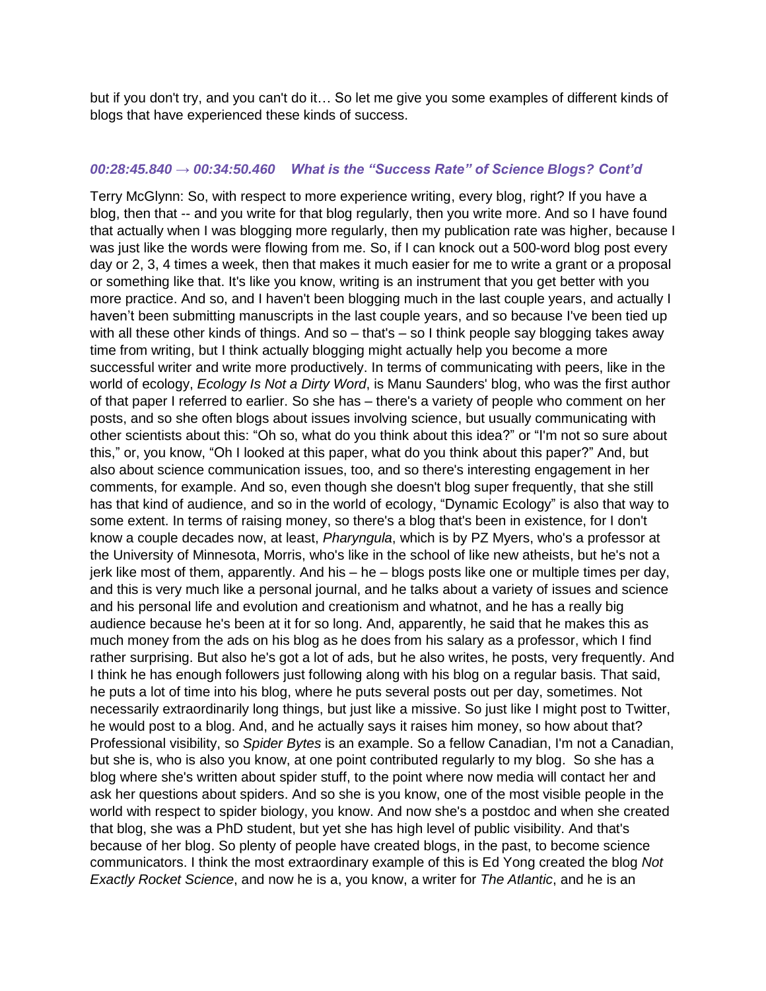but if you don't try, and you can't do it… So let me give you some examples of different kinds of blogs that have experienced these kinds of success.

#### *00:28:45.840 → 00:34:50.460 What is the "Success Rate" of Science Blogs? Cont'd*

Terry McGlynn: So, with respect to more experience writing, every blog, right? If you have a blog, then that -- and you write for that blog regularly, then you write more. And so I have found that actually when I was blogging more regularly, then my publication rate was higher, because I was just like the words were flowing from me. So, if I can knock out a 500-word blog post every day or 2, 3, 4 times a week, then that makes it much easier for me to write a grant or a proposal or something like that. It's like you know, writing is an instrument that you get better with you more practice. And so, and I haven't been blogging much in the last couple years, and actually I haven't been submitting manuscripts in the last couple years, and so because I've been tied up with all these other kinds of things. And so – that's – so I think people say blogging takes away time from writing, but I think actually blogging might actually help you become a more successful writer and write more productively. In terms of communicating with peers, like in the world of ecology, *Ecology Is Not a Dirty Word*, is Manu Saunders' blog, who was the first author of that paper I referred to earlier. So she has – there's a variety of people who comment on her posts, and so she often blogs about issues involving science, but usually communicating with other scientists about this: "Oh so, what do you think about this idea?" or "I'm not so sure about this," or, you know, "Oh I looked at this paper, what do you think about this paper?" And, but also about science communication issues, too, and so there's interesting engagement in her comments, for example. And so, even though she doesn't blog super frequently, that she still has that kind of audience, and so in the world of ecology, "Dynamic Ecology" is also that way to some extent. In terms of raising money, so there's a blog that's been in existence, for I don't know a couple decades now, at least, *Pharyngula*, which is by PZ Myers, who's a professor at the University of Minnesota, Morris, who's like in the school of like new atheists, but he's not a jerk like most of them, apparently. And his – he – blogs posts like one or multiple times per day, and this is very much like a personal journal, and he talks about a variety of issues and science and his personal life and evolution and creationism and whatnot, and he has a really big audience because he's been at it for so long. And, apparently, he said that he makes this as much money from the ads on his blog as he does from his salary as a professor, which I find rather surprising. But also he's got a lot of ads, but he also writes, he posts, very frequently. And I think he has enough followers just following along with his blog on a regular basis. That said, he puts a lot of time into his blog, where he puts several posts out per day, sometimes. Not necessarily extraordinarily long things, but just like a missive. So just like I might post to Twitter, he would post to a blog. And, and he actually says it raises him money, so how about that? Professional visibility, so *Spider Bytes* is an example. So a fellow Canadian, I'm not a Canadian, but she is, who is also you know, at one point contributed regularly to my blog. So she has a blog where she's written about spider stuff, to the point where now media will contact her and ask her questions about spiders. And so she is you know, one of the most visible people in the world with respect to spider biology, you know. And now she's a postdoc and when she created that blog, she was a PhD student, but yet she has high level of public visibility. And that's because of her blog. So plenty of people have created blogs, in the past, to become science communicators. I think the most extraordinary example of this is Ed Yong created the blog *Not Exactly Rocket Science*, and now he is a, you know, a writer for *The Atlantic*, and he is an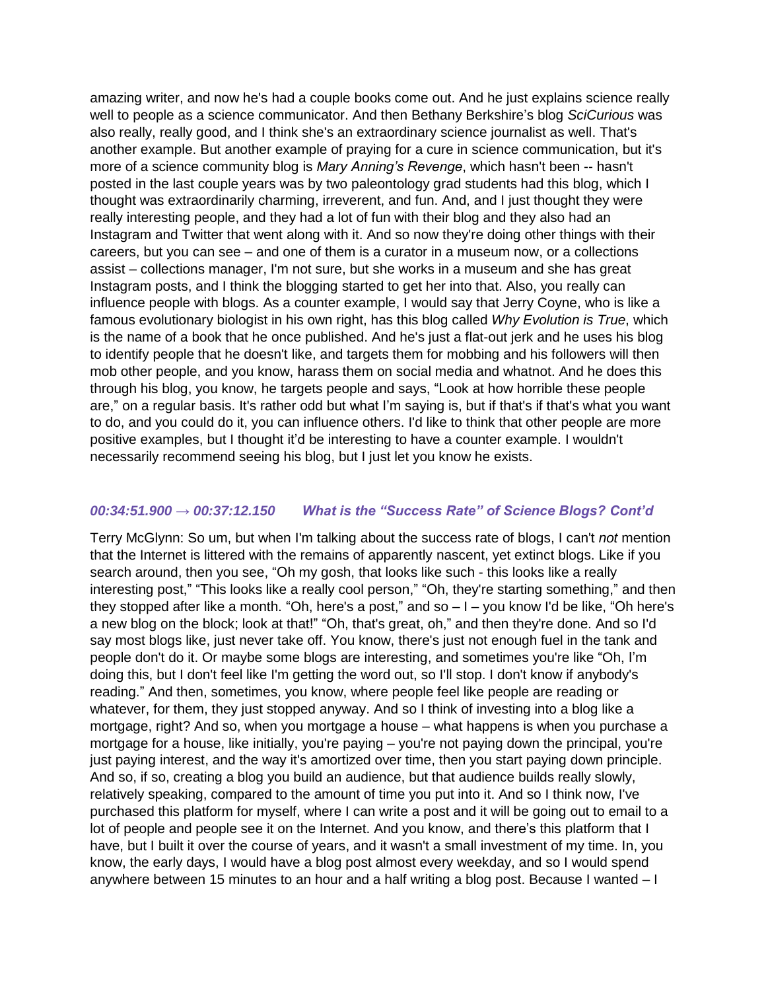amazing writer, and now he's had a couple books come out. And he just explains science really well to people as a science communicator. And then Bethany Berkshire's blog *SciCurious* was also really, really good, and I think she's an extraordinary science journalist as well. That's another example. But another example of praying for a cure in science communication, but it's more of a science community blog is *Mary Anning's Revenge*, which hasn't been -- hasn't posted in the last couple years was by two paleontology grad students had this blog, which I thought was extraordinarily charming, irreverent, and fun. And, and I just thought they were really interesting people, and they had a lot of fun with their blog and they also had an Instagram and Twitter that went along with it. And so now they're doing other things with their careers, but you can see – and one of them is a curator in a museum now, or a collections assist – collections manager, I'm not sure, but she works in a museum and she has great Instagram posts, and I think the blogging started to get her into that. Also, you really can influence people with blogs. As a counter example, I would say that Jerry Coyne, who is like a famous evolutionary biologist in his own right, has this blog called *Why Evolution is True*, which is the name of a book that he once published. And he's just a flat-out jerk and he uses his blog to identify people that he doesn't like, and targets them for mobbing and his followers will then mob other people, and you know, harass them on social media and whatnot. And he does this through his blog, you know, he targets people and says, "Look at how horrible these people are," on a regular basis. It's rather odd but what I'm saying is, but if that's if that's what you want to do, and you could do it, you can influence others. I'd like to think that other people are more positive examples, but I thought it'd be interesting to have a counter example. I wouldn't necessarily recommend seeing his blog, but I just let you know he exists.

# *00:34:51.900 → 00:37:12.150 What is the "Success Rate" of Science Blogs? Cont'd*

Terry McGlynn: So um, but when I'm talking about the success rate of blogs, I can't *not* mention that the Internet is littered with the remains of apparently nascent, yet extinct blogs. Like if you search around, then you see, "Oh my gosh, that looks like such - this looks like a really interesting post," "This looks like a really cool person," "Oh, they're starting something," and then they stopped after like a month. "Oh, here's a post," and so – I – you know I'd be like, "Oh here's a new blog on the block; look at that!" "Oh, that's great, oh," and then they're done. And so I'd say most blogs like, just never take off. You know, there's just not enough fuel in the tank and people don't do it. Or maybe some blogs are interesting, and sometimes you're like "Oh, I'm doing this, but I don't feel like I'm getting the word out, so I'll stop. I don't know if anybody's reading." And then, sometimes, you know, where people feel like people are reading or whatever, for them, they just stopped anyway. And so I think of investing into a blog like a mortgage, right? And so, when you mortgage a house – what happens is when you purchase a mortgage for a house, like initially, you're paying – you're not paying down the principal, you're just paying interest, and the way it's amortized over time, then you start paying down principle. And so, if so, creating a blog you build an audience, but that audience builds really slowly, relatively speaking, compared to the amount of time you put into it. And so I think now, I've purchased this platform for myself, where I can write a post and it will be going out to email to a lot of people and people see it on the Internet. And you know, and there's this platform that I have, but I built it over the course of years, and it wasn't a small investment of my time. In, you know, the early days, I would have a blog post almost every weekday, and so I would spend anywhere between 15 minutes to an hour and a half writing a blog post. Because I wanted – I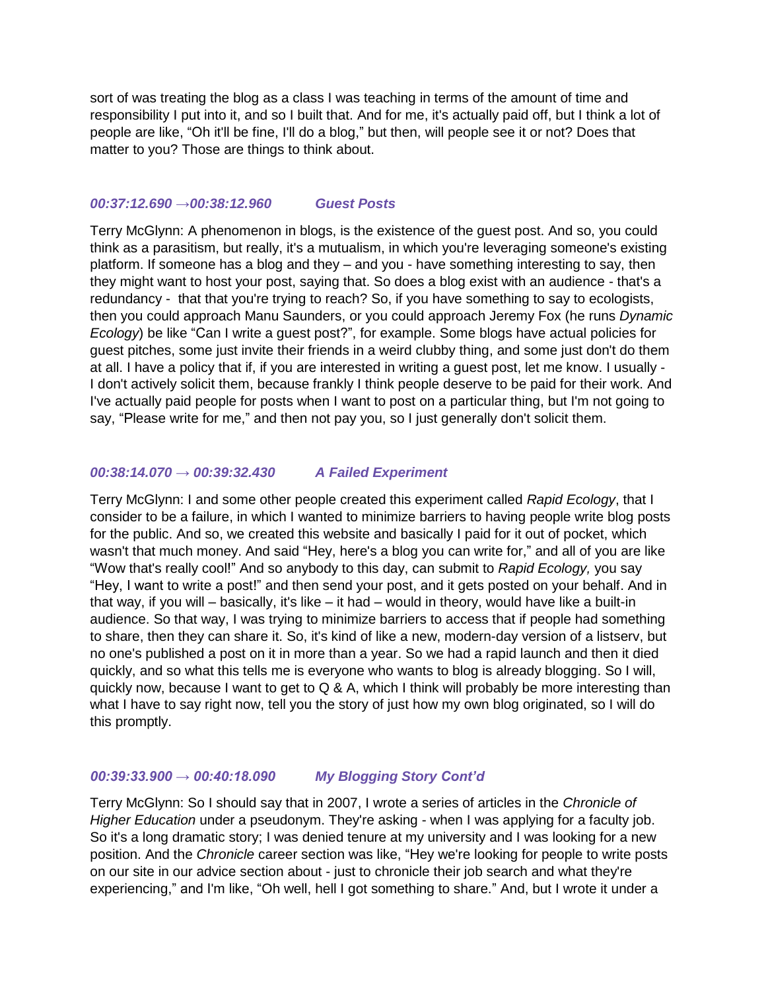sort of was treating the blog as a class I was teaching in terms of the amount of time and responsibility I put into it, and so I built that. And for me, it's actually paid off, but I think a lot of people are like, "Oh it'll be fine, I'll do a blog," but then, will people see it or not? Does that matter to you? Those are things to think about.

### *00:37:12.690 →00:38:12.960 Guest Posts*

Terry McGlynn: A phenomenon in blogs, is the existence of the guest post. And so, you could think as a parasitism, but really, it's a mutualism, in which you're leveraging someone's existing platform. If someone has a blog and they – and you - have something interesting to say, then they might want to host your post, saying that. So does a blog exist with an audience - that's a redundancy - that that you're trying to reach? So, if you have something to say to ecologists, then you could approach Manu Saunders, or you could approach Jeremy Fox (he runs *Dynamic Ecology*) be like "Can I write a guest post?", for example. Some blogs have actual policies for guest pitches, some just invite their friends in a weird clubby thing, and some just don't do them at all. I have a policy that if, if you are interested in writing a guest post, let me know. I usually - I don't actively solicit them, because frankly I think people deserve to be paid for their work. And I've actually paid people for posts when I want to post on a particular thing, but I'm not going to say, "Please write for me," and then not pay you, so I just generally don't solicit them.

#### *00:38:14.070 → 00:39:32.430 A Failed Experiment*

Terry McGlynn: I and some other people created this experiment called *Rapid Ecology*, that I consider to be a failure, in which I wanted to minimize barriers to having people write blog posts for the public. And so, we created this website and basically I paid for it out of pocket, which wasn't that much money. And said "Hey, here's a blog you can write for," and all of you are like "Wow that's really cool!" And so anybody to this day, can submit to *Rapid Ecology,* you say "Hey, I want to write a post!" and then send your post, and it gets posted on your behalf. And in that way, if you will – basically, it's like – it had – would in theory, would have like a built-in audience. So that way, I was trying to minimize barriers to access that if people had something to share, then they can share it. So, it's kind of like a new, modern-day version of a listserv, but no one's published a post on it in more than a year. So we had a rapid launch and then it died quickly, and so what this tells me is everyone who wants to blog is already blogging. So I will, quickly now, because I want to get to Q & A, which I think will probably be more interesting than what I have to say right now, tell you the story of just how my own blog originated, so I will do this promptly.

# *00:39:33.900 → 00:40:18.090 My Blogging Story Cont'd*

Terry McGlynn: So I should say that in 2007, I wrote a series of articles in the *Chronicle of Higher Education* under a pseudonym. They're asking - when I was applying for a faculty job. So it's a long dramatic story; I was denied tenure at my university and I was looking for a new position. And the *Chronicle* career section was like, "Hey we're looking for people to write posts on our site in our advice section about - just to chronicle their job search and what they're experiencing," and I'm like, "Oh well, hell I got something to share." And, but I wrote it under a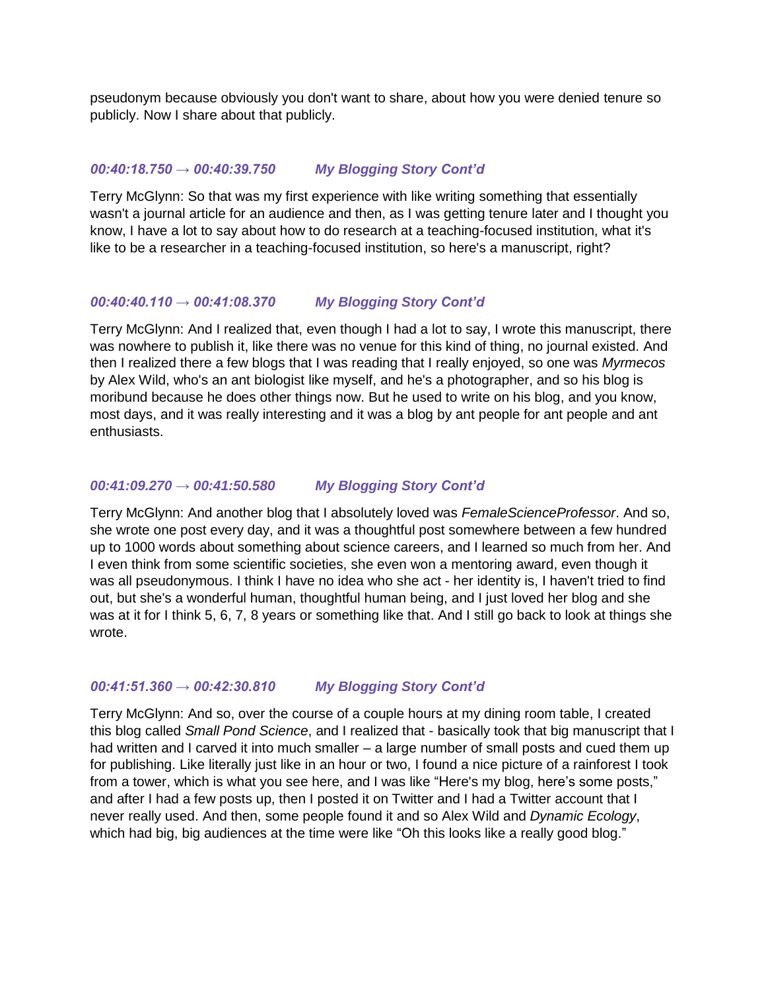pseudonym because obviously you don't want to share, about how you were denied tenure so publicly. Now I share about that publicly.

## *00:40:18.750 → 00:40:39.750 My Blogging Story Cont'd*

Terry McGlynn: So that was my first experience with like writing something that essentially wasn't a journal article for an audience and then, as I was getting tenure later and I thought you know, I have a lot to say about how to do research at a teaching-focused institution, what it's like to be a researcher in a teaching-focused institution, so here's a manuscript, right?

## *00:40:40.110 → 00:41:08.370 My Blogging Story Cont'd*

Terry McGlynn: And I realized that, even though I had a lot to say, I wrote this manuscript, there was nowhere to publish it, like there was no venue for this kind of thing, no journal existed. And then I realized there a few blogs that I was reading that I really enjoyed, so one was *Myrmecos* by Alex Wild, who's an ant biologist like myself, and he's a photographer, and so his blog is moribund because he does other things now. But he used to write on his blog, and you know, most days, and it was really interesting and it was a blog by ant people for ant people and ant enthusiasts.

## *00:41:09.270 → 00:41:50.580 My Blogging Story Cont'd*

Terry McGlynn: And another blog that I absolutely loved was *FemaleScienceProfessor*. And so, she wrote one post every day, and it was a thoughtful post somewhere between a few hundred up to 1000 words about something about science careers, and I learned so much from her. And I even think from some scientific societies, she even won a mentoring award, even though it was all pseudonymous. I think I have no idea who she act - her identity is, I haven't tried to find out, but she's a wonderful human, thoughtful human being, and I just loved her blog and she was at it for I think 5, 6, 7, 8 years or something like that. And I still go back to look at things she wrote.

#### *00:41:51.360 → 00:42:30.810 My Blogging Story Cont'd*

Terry McGlynn: And so, over the course of a couple hours at my dining room table, I created this blog called *Small Pond Science*, and I realized that - basically took that big manuscript that I had written and I carved it into much smaller – a large number of small posts and cued them up for publishing. Like literally just like in an hour or two, I found a nice picture of a rainforest I took from a tower, which is what you see here, and I was like "Here's my blog, here's some posts," and after I had a few posts up, then I posted it on Twitter and I had a Twitter account that I never really used. And then, some people found it and so Alex Wild and *Dynamic Ecology*, which had big, big audiences at the time were like "Oh this looks like a really good blog."